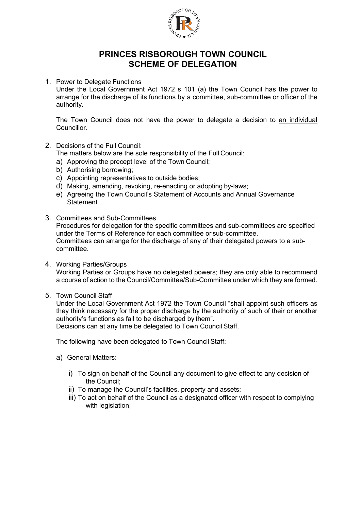

## **PRINCES RISBOROUGH TOWN COUNCIL SCHEME OF DELEGATION**

1. Power to Delegate Functions

Under the Local Government Act 1972 s 101 (a) the Town Council has the power to arrange for the discharge of its functions by a committee, sub-committee or officer of the authority.

The Town Council does not have the power to delegate a decision to an individual **Councillor** 

2. Decisions of the Full Council:

The matters below are the sole responsibility of the Full Council:

- a) Approving the precept level of the Town Council;
- b) Authorising borrowing;
- c) Appointing representatives to outside bodies;
- d) Making, amending, revoking, re-enacting or adopting by-laws;
- e) Agreeing the Town Council's Statement of Accounts and Annual Governance Statement.
- 3. Committees and Sub-Committees Procedures for delegation for the specific committees and sub-committees are specified under the Terms of Reference for each committee or sub-committee. Committees can arrange for the discharge of any of their delegated powers to a subcommittee.
- 4. Working Parties/Groups

Working Parties or Groups have no delegated powers; they are only able to recommend a course of action to the Council/Committee/Sub-Committee under which they are formed.

5. Town Council Staff

Under the Local Government Act 1972 the Town Council "shall appoint such officers as they think necessary for the proper discharge by the authority of such of their or another authority's functions as fall to be discharged by them".

Decisions can at any time be delegated to Town Council Staff.

The following have been delegated to Town Council Staff:

- a) General Matters:
	- i) To sign on behalf of the Council any document to give effect to any decision of the Council;
	- ii) To manage the Council's facilities, property and assets;
	- iii) To act on behalf of the Council as a designated officer with respect to complying with legislation;